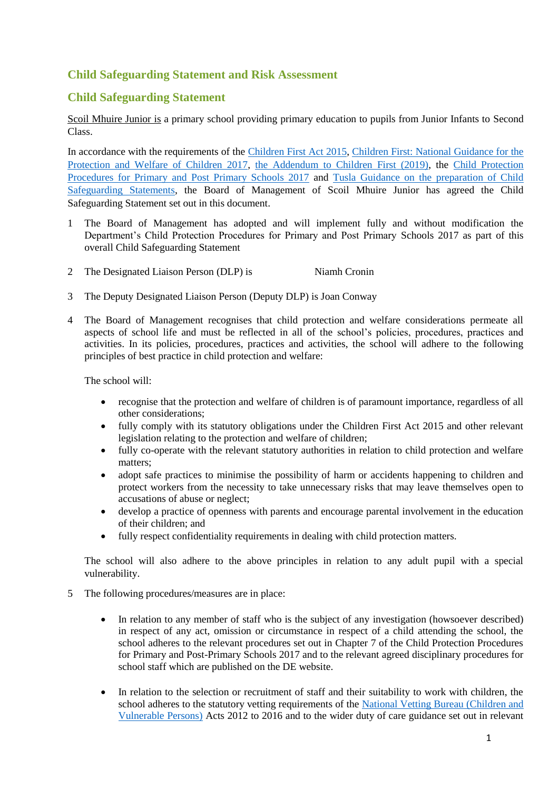## **Child Safeguarding Statement and Risk Assessment**

### **Child Safeguarding Statement**

Scoil Mhuire Junior is a primary school providing primary education to pupils from Junior Infants to Second Class.

In accordance with the requirements of the [Children First Act 2015,](http://www.irishstatutebook.ie/eli/2015/act/36/enacted/en/pdf) [Children First: National Guidance for the](https://assets.gov.ie/25844/b90aafa55804462f84d05f87f0ca2bf6.pdf)  [Protection and Welfare of Children 2017,](https://assets.gov.ie/25844/b90aafa55804462f84d05f87f0ca2bf6.pdf) [the Addendum to Children First \(2019\),](https://assets.gov.ie/25819/c9744b64dfd6447985eeffa5c0d71bbb.pdf) the [Child Protection](https://www.gov.ie/pdf/?file=https://assets.gov.ie/45063/2d4b5b3d781e4ec1ab4f3e5d198717d9.pdf#page=1)  [Procedures for Primary and Post Primary Schools 2017](https://www.gov.ie/pdf/?file=https://assets.gov.ie/45063/2d4b5b3d781e4ec1ab4f3e5d198717d9.pdf#page=1) and [Tusla Guidance on the preparation of Child](https://www.tusla.ie/uploads/content/4214-TUSLA_Guidance_on_Developing_a_CSS_LR.PDF)  [Safeguarding Statements,](https://www.tusla.ie/uploads/content/4214-TUSLA_Guidance_on_Developing_a_CSS_LR.PDF) the Board of Management of Scoil Mhuire Junior has agreed the Child Safeguarding Statement set out in this document.

- 1 The Board of Management has adopted and will implement fully and without modification the Department's Child Protection Procedures for Primary and Post Primary Schools 2017 as part of this overall Child Safeguarding Statement
- 2 The Designated Liaison Person (DLP) is Niamh Cronin
- 3 The Deputy Designated Liaison Person (Deputy DLP) is Joan Conway
- 4 The Board of Management recognises that child protection and welfare considerations permeate all aspects of school life and must be reflected in all of the school's policies, procedures, practices and activities. In its policies, procedures, practices and activities, the school will adhere to the following principles of best practice in child protection and welfare:

The school will:

- recognise that the protection and welfare of children is of paramount importance, regardless of all other considerations;
- fully comply with its statutory obligations under the Children First Act 2015 and other relevant legislation relating to the protection and welfare of children;
- fully co-operate with the relevant statutory authorities in relation to child protection and welfare matters;
- adopt safe practices to minimise the possibility of harm or accidents happening to children and protect workers from the necessity to take unnecessary risks that may leave themselves open to accusations of abuse or neglect;
- develop a practice of openness with parents and encourage parental involvement in the education of their children; and
- fully respect confidentiality requirements in dealing with child protection matters.

The school will also adhere to the above principles in relation to any adult pupil with a special vulnerability.

- 5 The following procedures/measures are in place:
	- In relation to any member of staff who is the subject of any investigation (howsoever described) in respect of any act, omission or circumstance in respect of a child attending the school, the school adheres to the relevant procedures set out in Chapter 7 of the Child Protection Procedures for Primary and Post-Primary Schools 2017 and to the relevant agreed disciplinary procedures for school staff which are published on the DE website.
	- In relation to the selection or recruitment of staff and their suitability to work with children, the school adheres to the statutory vetting requirements of the [National Vetting Bureau \(Children and](https://revisedacts.lawreform.ie/eli/2012/act/47/revised/en/pdf)  [Vulnerable Persons\)](https://revisedacts.lawreform.ie/eli/2012/act/47/revised/en/pdf) Acts 2012 to 2016 and to the wider duty of care guidance set out in relevant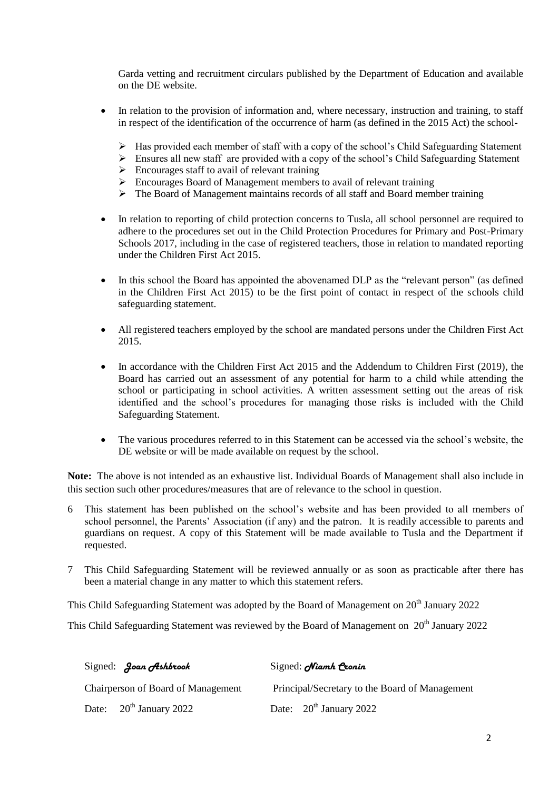Garda vetting and recruitment circulars published by the Department of Education and available on the DE website.

- In relation to the provision of information and, where necessary, instruction and training, to staff in respect of the identification of the occurrence of harm (as defined in the 2015 Act) the school-
	- Has provided each member of staff with a copy of the school's Child Safeguarding Statement
	- Ensures all new staff are provided with a copy of the school's Child Safeguarding Statement
	- $\triangleright$  Encourages staff to avail of relevant training
	- $\triangleright$  Encourages Board of Management members to avail of relevant training
	- The Board of Management maintains records of all staff and Board member training
- In relation to reporting of child protection concerns to Tusla, all school personnel are required to adhere to the procedures set out in the Child Protection Procedures for Primary and Post-Primary Schools 2017, including in the case of registered teachers, those in relation to mandated reporting under the Children First Act 2015.
- In this school the Board has appointed the abovenamed DLP as the "relevant person" (as defined in the Children First Act 2015) to be the first point of contact in respect of the schools child safeguarding statement.
- All registered teachers employed by the school are mandated persons under the Children First Act 2015.
- In accordance with the Children First Act 2015 and the Addendum to Children First (2019), the Board has carried out an assessment of any potential for harm to a child while attending the school or participating in school activities. A written assessment setting out the areas of risk identified and the school's procedures for managing those risks is included with the Child Safeguarding Statement.
- The various procedures referred to in this Statement can be accessed via the school's website, the DE website or will be made available on request by the school.

**Note:** The above is not intended as an exhaustive list. Individual Boards of Management shall also include in this section such other procedures/measures that are of relevance to the school in question.

- 6 This statement has been published on the school's website and has been provided to all members of school personnel, the Parents' Association (if any) and the patron. It is readily accessible to parents and guardians on request. A copy of this Statement will be made available to Tusla and the Department if requested.
- 7 This Child Safeguarding Statement will be reviewed annually or as soon as practicable after there has been a material change in any matter to which this statement refers.

This Child Safeguarding Statement was adopted by the Board of Management on 20<sup>th</sup> January 2022

This Child Safeguarding Statement was reviewed by the Board of Management on 20<sup>th</sup> January 2022

| Signed: Joan Ashbrook              | Signed: <i>Niamh</i> Cronin                    |
|------------------------------------|------------------------------------------------|
| Chairperson of Board of Management | Principal/Secretary to the Board of Management |
| Date: $20th$ January 2022          | Date: $20th$ January 2022                      |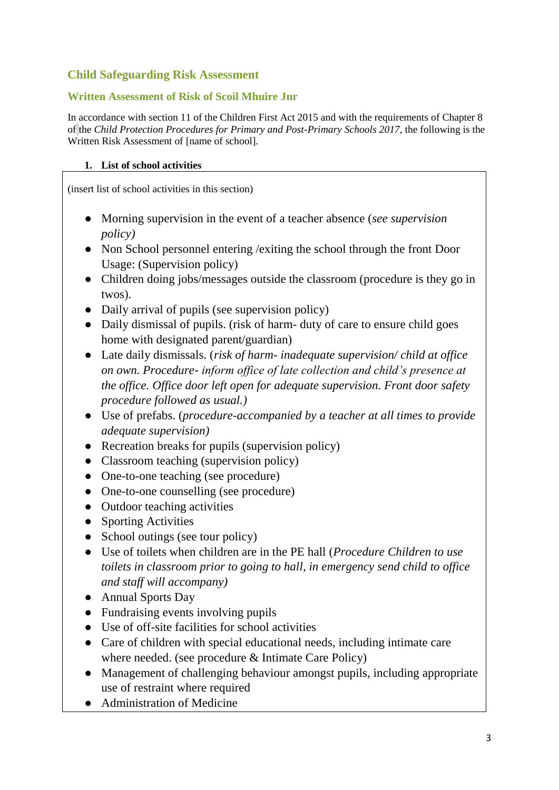# **Child Safeguarding Risk Assessment**

#### **Written Assessment of Risk of Scoil Mhuire Jnr**

In accordance with section 11 of the Children First Act 2015 and with the requirements of Chapter 8 of the *Child Protection Procedures for Primary and Post-Primary Schools 2017*, the following is the Written Risk Assessment of [name of school].

#### **1. List of school activities**

(insert list of school activities in this section)

- Morning supervision in the event of a teacher absence (*see supervision policy)*
- Non School personnel entering / exiting the school through the front Door Usage: (Supervision policy)
- Children doing jobs/messages outside the classroom (procedure is they go in twos).
- Daily arrival of pupils (see supervision policy)
- Daily dismissal of pupils. (risk of harm- duty of care to ensure child goes home with designated parent/guardian)
- Late daily dismissals. (*risk of harm- inadequate supervision/ child at office on own. Procedure- inform office of late collection and child's presence at the office. Office door left open for adequate supervision. Front door safety procedure followed as usual.)*
- Use of prefabs. (*procedure-accompanied by a teacher at all times to provide adequate supervision)*
- Recreation breaks for pupils (supervision policy)
- Classroom teaching (supervision policy)
- One-to-one teaching (see procedure)
- One-to-one counselling (see procedure)
- Outdoor teaching activities
- Sporting Activities
- School outings (see tour policy)
- Use of toilets when children are in the PE hall (*Procedure Children to use toilets in classroom prior to going to hall, in emergency send child to office and staff will accompany)*
- Annual Sports Day
- Fundraising events involving pupils
- Use of off-site facilities for school activities
- Care of children with special educational needs, including intimate care where needed. (see procedure & Intimate Care Policy)
- Management of challenging behaviour amongst pupils, including appropriate use of restraint where required
- Administration of Medicine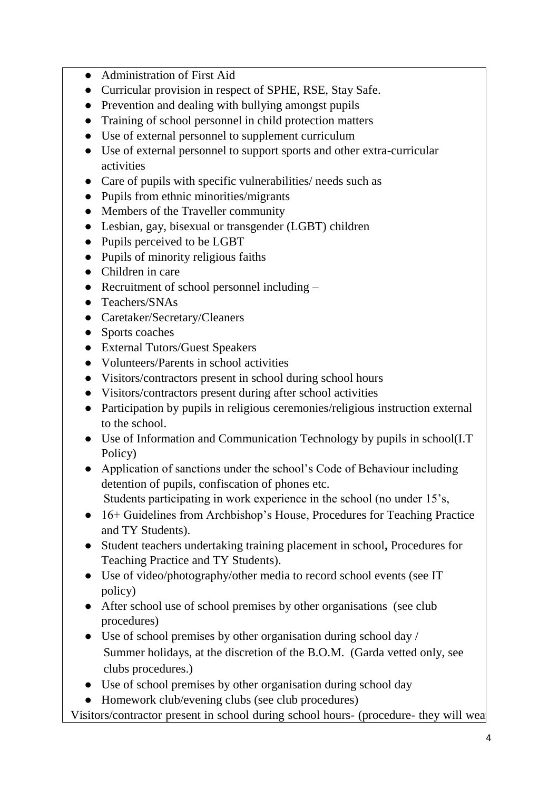- Administration of First Aid
- Curricular provision in respect of SPHE, RSE, Stay Safe.
- Prevention and dealing with bullying amongst pupils
- Training of school personnel in child protection matters
- Use of external personnel to supplement curriculum
- Use of external personnel to support sports and other extra-curricular activities
- Care of pupils with specific vulnerabilities/ needs such as
- Pupils from ethnic minorities/migrants
- Members of the Traveller community
- Lesbian, gay, bisexual or transgender (LGBT) children
- Pupils perceived to be LGBT
- Pupils of minority religious faiths
- Children in care
- Recruitment of school personnel including –
- Teachers/SNAs
- Caretaker/Secretary/Cleaners
- Sports coaches
- External Tutors/Guest Speakers
- Volunteers/Parents in school activities
- Visitors/contractors present in school during school hours
- Visitors/contractors present during after school activities
- Participation by pupils in religious ceremonies/religious instruction external to the school.
- Use of Information and Communication Technology by pupils in school(I.T) Policy)
- Application of sanctions under the school's Code of Behaviour including detention of pupils, confiscation of phones etc. Students participating in work experience in the school (no under 15's,
- 16+ Guidelines from Archbishop's House, Procedures for Teaching Practice and TY Students).
- Student teachers undertaking training placement in school**,** Procedures for Teaching Practice and TY Students).
- Use of video/photography/other media to record school events (see IT policy)
- After school use of school premises by other organisations (see club procedures)
- Use of school premises by other organisation during school day / Summer holidays, at the discretion of the B.O.M. (Garda vetted only, see clubs procedures.)
- Use of school premises by other organisation during school day
- Homework club/evening clubs (see club procedures)

Visitors/contractor present in school during school hours- (procedure- they will wea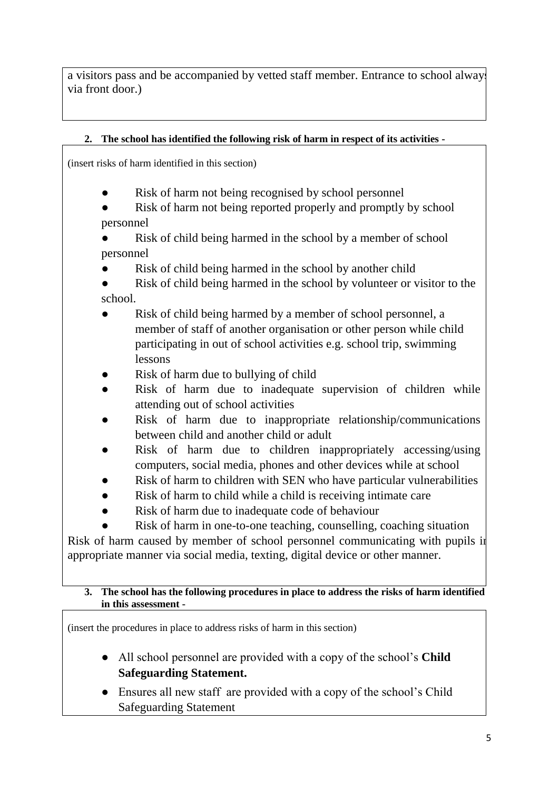a visitors pass and be accompanied by vetted staff member. Entrance to school always via front door.)

## **2. The school has identified the following risk of harm in respect of its activities -**

(insert risks of harm identified in this section)

- Risk of harm not being recognised by school personnel
- Risk of harm not being reported properly and promptly by school personnel
- Risk of child being harmed in the school by a member of school personnel
- Risk of child being harmed in the school by another child
- Risk of child being harmed in the school by volunteer or visitor to the school.
- Risk of child being harmed by a member of school personnel, a member of staff of another organisation or other person while child participating in out of school activities e.g. school trip, swimming lessons
- Risk of harm due to bullying of child
- Risk of harm due to inadequate supervision of children while attending out of school activities
- Risk of harm due to inappropriate relationship/communications between child and another child or adult
- Risk of harm due to children inappropriately accessing/using computers, social media, phones and other devices while at school
- Risk of harm to children with SEN who have particular vulnerabilities
- Risk of harm to child while a child is receiving intimate care
- Risk of harm due to inadequate code of behaviour
- Risk of harm in one-to-one teaching, counselling, coaching situation

Risk of harm caused by member of school personnel communicating with pupils in appropriate manner via social media, texting, digital device or other manner.

#### **3. The school has the following procedures in place to address the risks of harm identified in this assessment -**

(insert the procedures in place to address risks of harm in this section)

- All school personnel are provided with a copy of the school's **Child Safeguarding Statement.**
- Ensures all new staff are provided with a copy of the school's Child Safeguarding Statement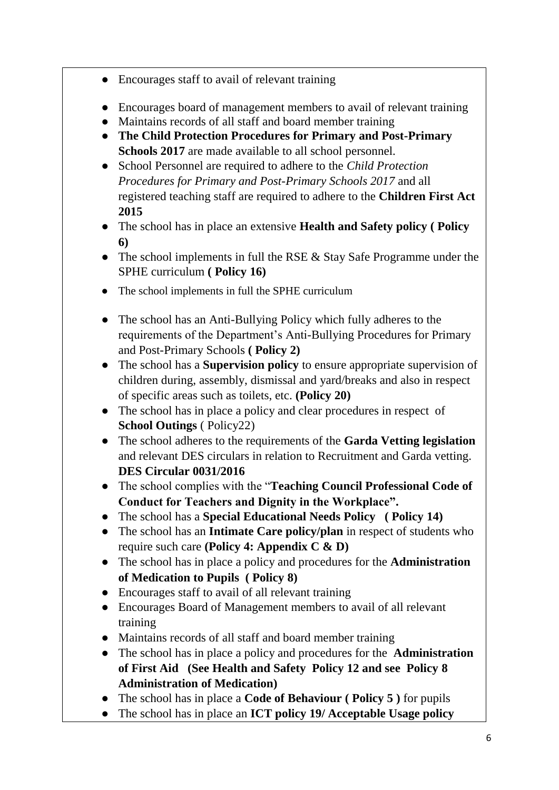- Encourages staff to avail of relevant training
- Encourages board of management members to avail of relevant training
- Maintains records of all staff and board member training
- **The Child Protection Procedures for Primary and Post-Primary Schools 2017** are made available to all school personnel.
- School Personnel are required to adhere to the *Child Protection Procedures for Primary and Post-Primary Schools 2017* and all registered teaching staff are required to adhere to the **Children First Act 2015**
- The school has in place an extensive **Health and Safety policy ( Policy 6)**
- The school implements in full the RSE & Stay Safe Programme under the SPHE curriculum **( Policy 16)**
- The school implements in full the SPHE curriculum
- The school has an Anti-Bullying Policy which fully adheres to the requirements of the Department's Anti-Bullying Procedures for Primary and Post-Primary Schools **( Policy 2)**
- The school has a **Supervision policy** to ensure appropriate supervision of children during, assembly, dismissal and yard/breaks and also in respect of specific areas such as toilets, etc. **(Policy 20)**
- The school has in place a policy and clear procedures in respect of **School Outings** ( Policy22)
- The school adheres to the requirements of the **Garda Vetting legislation** and relevant DES circulars in relation to Recruitment and Garda vetting. **DES Circular 0031/2016**
- The school complies with the "**Teaching Council Professional Code of Conduct for Teachers and Dignity in the Workplace".**
- The school has a **Special Educational Needs Policy ( Policy 14)**
- The school has an **Intimate Care policy/plan** in respect of students who require such care **(Policy 4: Appendix C & D)**
- The school has in place a policy and procedures for the **Administration of Medication to Pupils ( Policy 8)**
- Encourages staff to avail of all relevant training
- Encourages Board of Management members to avail of all relevant training
- Maintains records of all staff and board member training
- The school has in place a policy and procedures for the **Administration of First Aid (See Health and Safety Policy 12 and see Policy 8 Administration of Medication)**
- The school has in place a **Code of Behaviour ( Policy 5 )** for pupils
- The school has in place an **ICT policy 19/ Acceptable Usage policy**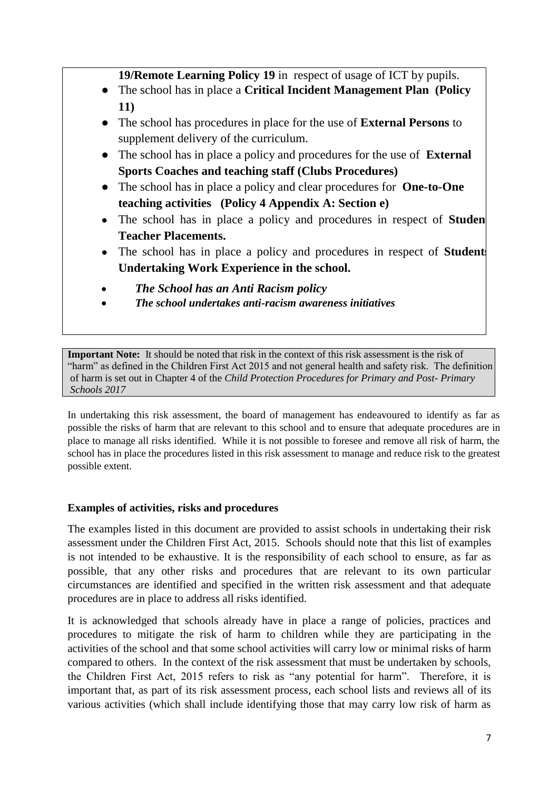**19/Remote Learning Policy 19** in respect of usage of ICT by pupils.

- The school has in place a **Critical Incident Management Plan (Policy 11)**
- The school has procedures in place for the use of **External Persons** to supplement delivery of the curriculum.
- The school has in place a policy and procedures for the use of **External Sports Coaches and teaching staff (Clubs Procedures)**
- The school has in place a policy and clear procedures for **One-to-One teaching activities (Policy 4 Appendix A: Section e)**
- The school has in place a policy and procedures in respect of **Studen Teacher Placements.**
- The school has in place a policy and procedures in respect of **Student Undertaking Work Experience in the school.**
- *The School has an Anti Racism policy*
- *The school undertakes anti-racism awareness initiatives*

**Important Note:** It should be noted that risk in the context of this risk assessment is the risk of "harm" as defined in the Children First Act 2015 and not general health and safety risk. The definition of harm is set out in Chapter 4 of the *Child Protection Procedures for Primary and Post- Primary Schools 2017*

In undertaking this risk assessment, the board of management has endeavoured to identify as far as possible the risks of harm that are relevant to this school and to ensure that adequate procedures are in place to manage all risks identified. While it is not possible to foresee and remove all risk of harm, the school has in place the procedures listed in this risk assessment to manage and reduce risk to the greatest possible extent.

#### **Examples of activities, risks and procedures**

The examples listed in this document are provided to assist schools in undertaking their risk assessment under the Children First Act, 2015. Schools should note that this list of examples is not intended to be exhaustive. It is the responsibility of each school to ensure, as far as possible, that any other risks and procedures that are relevant to its own particular circumstances are identified and specified in the written risk assessment and that adequate procedures are in place to address all risks identified.

It is acknowledged that schools already have in place a range of policies, practices and procedures to mitigate the risk of harm to children while they are participating in the activities of the school and that some school activities will carry low or minimal risks of harm compared to others. In the context of the risk assessment that must be undertaken by schools, the Children First Act, 2015 refers to risk as "any potential for harm". Therefore, it is important that, as part of its risk assessment process, each school lists and reviews all of its various activities (which shall include identifying those that may carry low risk of harm as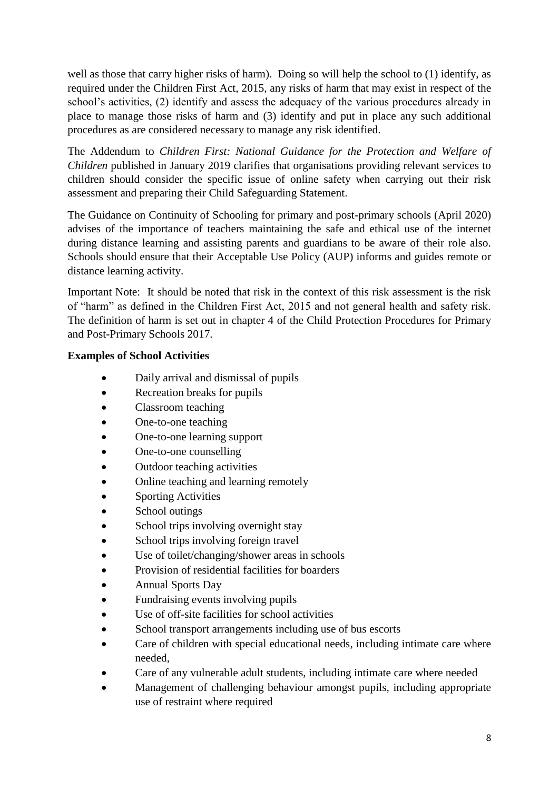well as those that carry higher risks of harm). Doing so will help the school to (1) identify, as required under the Children First Act, 2015, any risks of harm that may exist in respect of the school's activities, (2) identify and assess the adequacy of the various procedures already in place to manage those risks of harm and (3) identify and put in place any such additional procedures as are considered necessary to manage any risk identified.

The Addendum to *Children First: National Guidance for the Protection and Welfare of Children* published in January 2019 clarifies that organisations providing relevant services to children should consider the specific issue of online safety when carrying out their risk assessment and preparing their Child Safeguarding Statement.

The Guidance on Continuity of Schooling for primary and post-primary schools (April 2020) advises of the importance of teachers maintaining the safe and ethical use of the internet during distance learning and assisting parents and guardians to be aware of their role also. Schools should ensure that their Acceptable Use Policy (AUP) informs and guides remote or distance learning activity.

Important Note: It should be noted that risk in the context of this risk assessment is the risk of "harm" as defined in the Children First Act, 2015 and not general health and safety risk. The definition of harm is set out in chapter 4 of the Child Protection Procedures for Primary and Post-Primary Schools 2017.

## **Examples of School Activities**

- Daily arrival and dismissal of pupils
- Recreation breaks for pupils
- Classroom teaching
- One-to-one teaching
- One-to-one learning support
- One-to-one counselling
- Outdoor teaching activities
- Online teaching and learning remotely
- Sporting Activities
- School outings
- School trips involving overnight stay
- School trips involving foreign travel
- Use of toilet/changing/shower areas in schools
- Provision of residential facilities for boarders
- Annual Sports Day
- Fundraising events involving pupils
- Use of off-site facilities for school activities
- School transport arrangements including use of bus escorts
- Care of children with special educational needs, including intimate care where needed,
- Care of any vulnerable adult students, including intimate care where needed
- Management of challenging behaviour amongst pupils, including appropriate use of restraint where required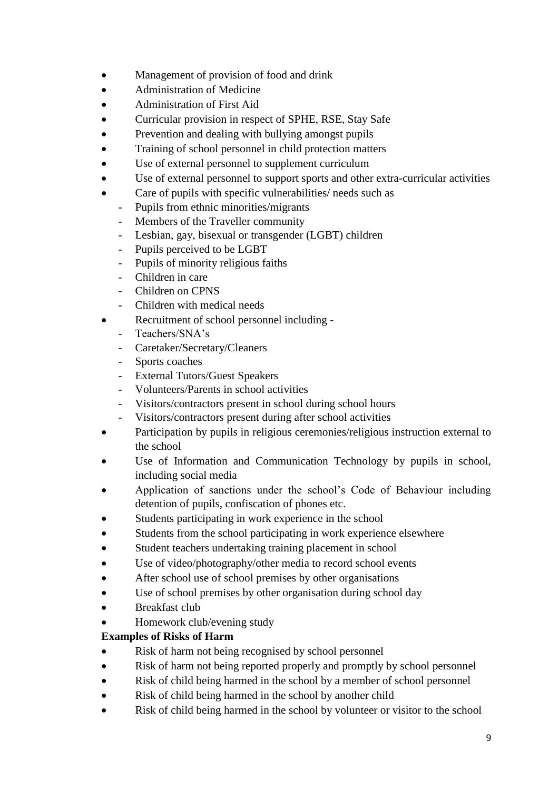- Management of provision of food and drink
- Administration of Medicine
- Administration of First Aid
- Curricular provision in respect of SPHE, RSE, Stay Safe
- Prevention and dealing with bullying amongst pupils
- Training of school personnel in child protection matters
- Use of external personnel to supplement curriculum
- Use of external personnel to support sports and other extra-curricular activities
- Care of pupils with specific vulnerabilities/ needs such as
	- Pupils from ethnic minorities/migrants
	- Members of the Traveller community
	- Lesbian, gay, bisexual or transgender (LGBT) children
	- Pupils perceived to be LGBT
	- Pupils of minority religious faiths
	- Children in care
	- Children on CPNS
	- Children with medical needs
- Recruitment of school personnel including -
	- Teachers/SNA's
	- Caretaker/Secretary/Cleaners
	- Sports coaches
	- External Tutors/Guest Speakers
	- Volunteers/Parents in school activities
	- Visitors/contractors present in school during school hours
	- Visitors/contractors present during after school activities
- Participation by pupils in religious ceremonies/religious instruction external to the school
- Use of Information and Communication Technology by pupils in school, including social media
- Application of sanctions under the school's Code of Behaviour including detention of pupils, confiscation of phones etc.
- Students participating in work experience in the school
- Students from the school participating in work experience elsewhere
- Student teachers undertaking training placement in school
- Use of video/photography/other media to record school events
- After school use of school premises by other organisations
- Use of school premises by other organisation during school day
- Breakfast club
- Homework club/evening study

# **Examples of Risks of Harm**

- Risk of harm not being recognised by school personnel
- Risk of harm not being reported properly and promptly by school personnel
- Risk of child being harmed in the school by a member of school personnel
- Risk of child being harmed in the school by another child
- Risk of child being harmed in the school by volunteer or visitor to the school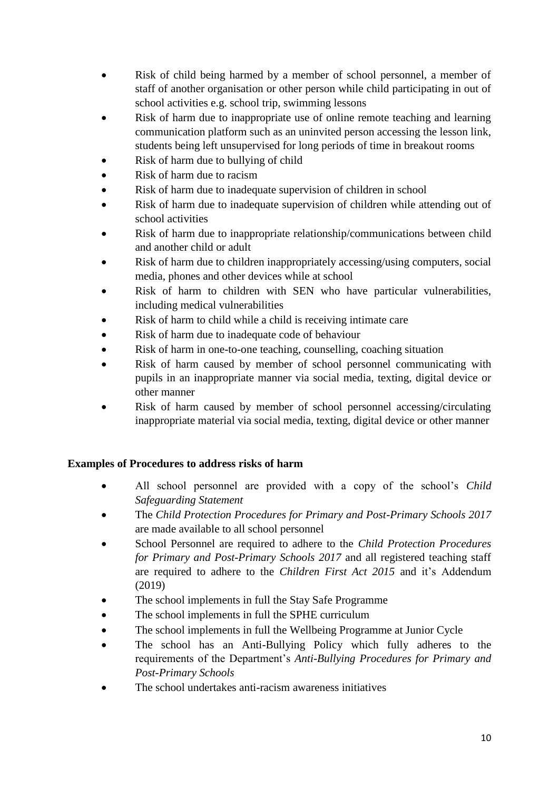- Risk of child being harmed by a member of school personnel, a member of staff of another organisation or other person while child participating in out of school activities e.g. school trip, swimming lessons
- Risk of harm due to inappropriate use of online remote teaching and learning communication platform such as an uninvited person accessing the lesson link, students being left unsupervised for long periods of time in breakout rooms
- Risk of harm due to bullying of child
- Risk of harm due to racism
- Risk of harm due to inadequate supervision of children in school
- Risk of harm due to inadequate supervision of children while attending out of school activities
- Risk of harm due to inappropriate relationship/communications between child and another child or adult
- Risk of harm due to children inappropriately accessing/using computers, social media, phones and other devices while at school
- Risk of harm to children with SEN who have particular vulnerabilities, including medical vulnerabilities
- Risk of harm to child while a child is receiving intimate care
- Risk of harm due to inadequate code of behaviour
- Risk of harm in one-to-one teaching, counselling, coaching situation
- Risk of harm caused by member of school personnel communicating with pupils in an inappropriate manner via social media, texting, digital device or other manner
- Risk of harm caused by member of school personnel accessing/circulating inappropriate material via social media, texting, digital device or other manner

## **Examples of Procedures to address risks of harm**

- All school personnel are provided with a copy of the school's *Child Safeguarding Statement*
- The *Child Protection Procedures for Primary and Post-Primary Schools 2017* are made available to all school personnel
- School Personnel are required to adhere to the *Child Protection Procedures for Primary and Post-Primary Schools 2017* and all registered teaching staff are required to adhere to the *Children First Act 2015* and it's Addendum (2019)
- The school implements in full the Stay Safe Programme
- The school implements in full the SPHE curriculum
- The school implements in full the Wellbeing Programme at Junior Cycle
- The school has an Anti-Bullying Policy which fully adheres to the requirements of the Department's *Anti-Bullying Procedures for Primary and Post-Primary Schools*
- The school undertakes anti-racism awareness initiatives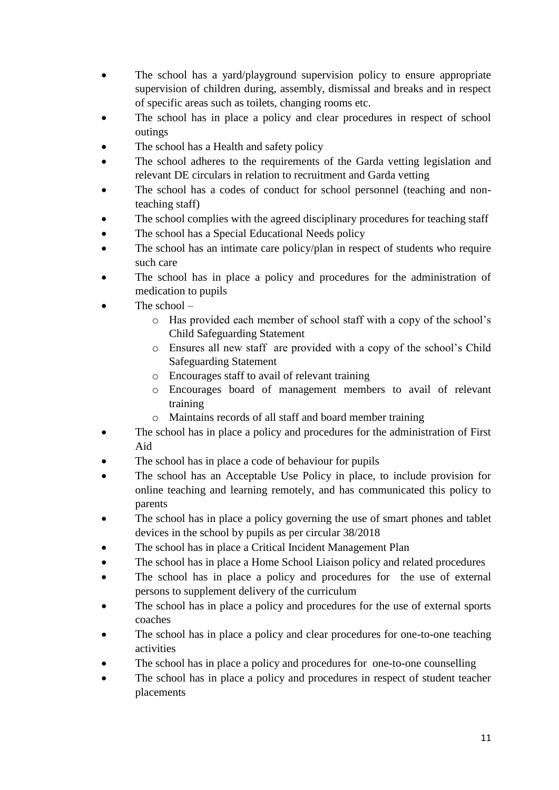- The school has a yard/playground supervision policy to ensure appropriate supervision of children during, assembly, dismissal and breaks and in respect of specific areas such as toilets, changing rooms etc.
- The school has in place a policy and clear procedures in respect of school outings
- The school has a Health and safety policy
- The school adheres to the requirements of the Garda vetting legislation and relevant DE circulars in relation to recruitment and Garda vetting
- The school has a codes of conduct for school personnel (teaching and nonteaching staff)
- The school complies with the agreed disciplinary procedures for teaching staff
- The school has a Special Educational Needs policy
- The school has an intimate care policy/plan in respect of students who require such care
- The school has in place a policy and procedures for the administration of medication to pupils
- The school
	- o Has provided each member of school staff with a copy of the school's Child Safeguarding Statement
	- o Ensures all new staff are provided with a copy of the school's Child Safeguarding Statement
	- o Encourages staff to avail of relevant training
	- o Encourages board of management members to avail of relevant training
	- o Maintains records of all staff and board member training
- The school has in place a policy and procedures for the administration of First Aid
- The school has in place a code of behaviour for pupils
- The school has an Acceptable Use Policy in place, to include provision for online teaching and learning remotely, and has communicated this policy to parents
- The school has in place a policy governing the use of smart phones and tablet devices in the school by pupils as per circular 38/2018
- The school has in place a Critical Incident Management Plan
- The school has in place a Home School Liaison policy and related procedures
- The school has in place a policy and procedures for the use of external persons to supplement delivery of the curriculum
- The school has in place a policy and procedures for the use of external sports coaches
- The school has in place a policy and clear procedures for one-to-one teaching activities
- The school has in place a policy and procedures for one-to-one counselling
- The school has in place a policy and procedures in respect of student teacher placements